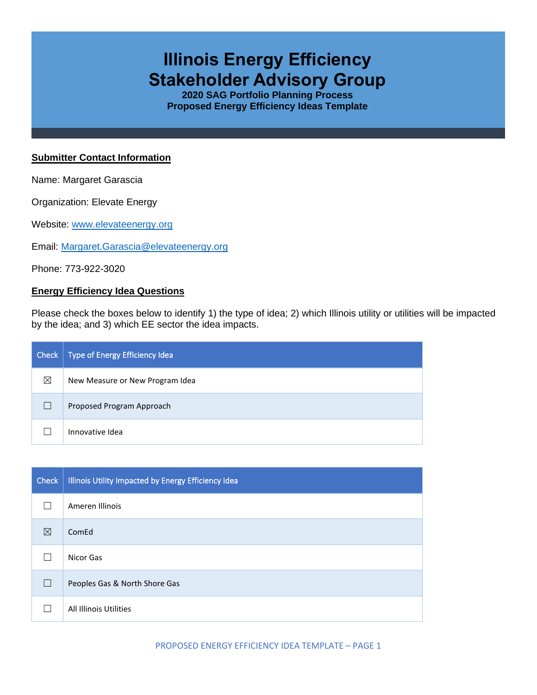# **Illinois Energy Efficiency Stakeholder Advisory Group**

**2020 SAG Portfolio Planning Process Proposed Energy Efficiency Ideas Template**

#### **Submitter Contact Information**

Name: Margaret Garascia

Organization: Elevate Energy

Website: [www.elevateenergy.org](http://www.elevateenergy.org/)

Email: [Margaret.Garascia@elevateenergy.org](mailto:Margaret.Garascia@elevateenergy.org)

Phone: 773-922-3020

### **Energy Efficiency Idea Questions**

Please check the boxes below to identify 1) the type of idea; 2) which Illinois utility or utilities will be impacted by the idea; and 3) which EE sector the idea impacts.

| Check | Type of Energy Efficiency Idea  |
|-------|---------------------------------|
| ⊠     | New Measure or New Program Idea |
|       | Proposed Program Approach       |
|       | Innovative Idea                 |

| <b>Check</b> | Illinois Utility Impacted by Energy Efficiency Idea |
|--------------|-----------------------------------------------------|
|              | Ameren Illinois                                     |
| ⊠            | ComEd                                               |
|              | Nicor Gas                                           |
| $\Box$       | Peoples Gas & North Shore Gas                       |
|              | All Illinois Utilities                              |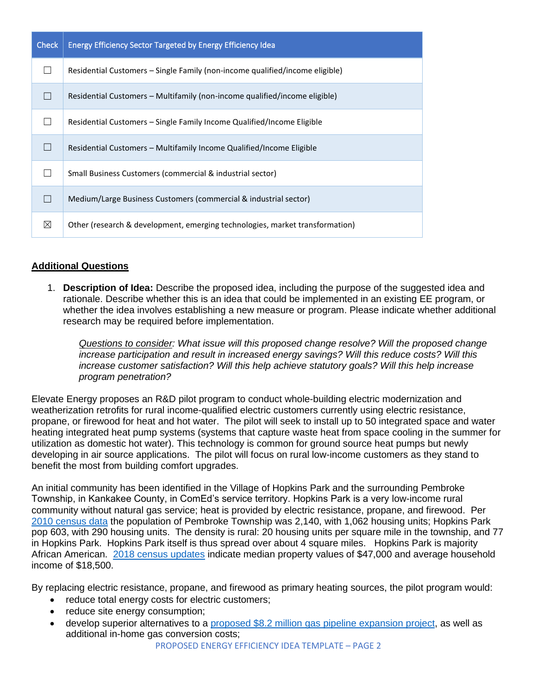| <b>Check</b> | <b>Energy Efficiency Sector Targeted by Energy Efficiency Idea</b>           |  |  |
|--------------|------------------------------------------------------------------------------|--|--|
|              | Residential Customers – Single Family (non-income qualified/income eligible) |  |  |
|              | Residential Customers - Multifamily (non-income qualified/income eligible)   |  |  |
|              | Residential Customers – Single Family Income Qualified/Income Eligible       |  |  |
|              | Residential Customers - Multifamily Income Qualified/Income Eligible         |  |  |
|              | Small Business Customers (commercial & industrial sector)                    |  |  |
|              | Medium/Large Business Customers (commercial & industrial sector)             |  |  |
| ⊠            | Other (research & development, emerging technologies, market transformation) |  |  |

## **Additional Questions**

1. **Description of Idea:** Describe the proposed idea, including the purpose of the suggested idea and rationale. Describe whether this is an idea that could be implemented in an existing EE program, or whether the idea involves establishing a new measure or program. Please indicate whether additional research may be required before implementation.

*Questions to consider: What issue will this proposed change resolve? Will the proposed change increase participation and result in increased energy savings? Will this reduce costs? Will this increase customer satisfaction? Will this help achieve statutory goals? Will this help increase program penetration?* 

Elevate Energy proposes an R&D pilot program to conduct whole-building electric modernization and weatherization retrofits for rural income-qualified electric customers currently using electric resistance, propane, or firewood for heat and hot water. The pilot will seek to install up to 50 integrated space and water heating integrated heat pump systems (systems that capture waste heat from space cooling in the summer for utilization as domestic hot water). This technology is common for ground source heat pumps but newly developing in air source applications. The pilot will focus on rural low-income customers as they stand to benefit the most from building comfort upgrades.

An initial community has been identified in the Village of Hopkins Park and the surrounding Pembroke Township, in Kankakee County, in ComEd's service territory. Hopkins Park is a very low-income rural community without natural gas service; heat is provided by electric resistance, propane, and firewood. Per [2010 census data](https://archive.vn/20200212201352/http:/factfinder.census.gov/bkmk/table/1.0/en/DEC/10_SF1/GCTPH1.CY10/0500000US17091) the population of Pembroke Township was 2,140, with 1,062 housing units; Hopkins Park pop 603, with 290 housing units. The density is rural: 20 housing units per square mile in the township, and 77 in Hopkins Park. Hopkins Park itself is thus spread over about 4 square miles. Hopkins Park is majority African American. [2018 census updates](https://www.census.gov/search-results.html?q=Hopkins+Park+village%2C+IL&page=1&stateGeo=none&searchtype=web&cssp=Typeahead) indicate median property values of \$47,000 and average household income of \$18,500.

By replacing electric resistance, propane, and firewood as primary heating sources, the pilot program would:

- reduce total energy costs for electric customers;
- reduce site energy consumption;
- develop superior alternatives to a [proposed \\$8.2 million gas pipeline expansion project,](https://www.daily-journal.com/news/local/talks-continue-in-bringing-natural-gas-to-pembroke-township/article_f996f48a-3263-11ea-b58f-0f3005cbc02f.html) as well as additional in-home gas conversion costs;

PROPOSED ENERGY EFFICIENCY IDEA TEMPLATE – PAGE 2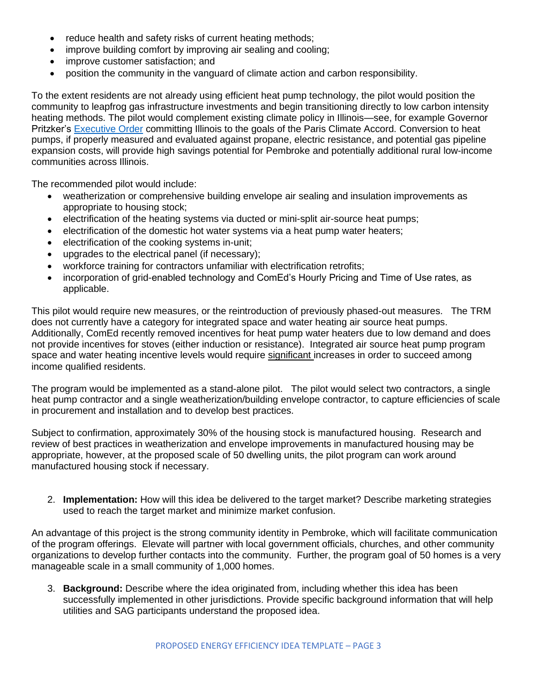- reduce health and safety risks of current heating methods;
- improve building comfort by improving air sealing and cooling;
- improve customer satisfaction; and
- position the community in the vanguard of climate action and carbon responsibility.

To the extent residents are not already using efficient heat pump technology, the pilot would position the community to leapfrog gas infrastructure investments and begin transitioning directly to low carbon intensity heating methods. The pilot would complement existing climate policy in Illinois—see, for example Governor Pritzker's [Executive Order](https://www2.illinois.gov/epa/topics/climate/Pages/default.aspx) committing Illinois to the goals of the Paris Climate Accord. Conversion to heat pumps, if properly measured and evaluated against propane, electric resistance, and potential gas pipeline expansion costs, will provide high savings potential for Pembroke and potentially additional rural low-income communities across Illinois.

The recommended pilot would include:

- weatherization or comprehensive building envelope air sealing and insulation improvements as appropriate to housing stock;
- electrification of the heating systems via ducted or mini-split air-source heat pumps;
- electrification of the domestic hot water systems via a heat pump water heaters;
- electrification of the cooking systems in-unit;
- upgrades to the electrical panel (if necessary);
- workforce training for contractors unfamiliar with electrification retrofits;
- incorporation of grid-enabled technology and ComEd's Hourly Pricing and Time of Use rates, as applicable.

This pilot would require new measures, or the reintroduction of previously phased-out measures. The TRM does not currently have a category for integrated space and water heating air source heat pumps. Additionally, ComEd recently removed incentives for heat pump water heaters due to low demand and does not provide incentives for stoves (either induction or resistance). Integrated air source heat pump program space and water heating incentive levels would require significant increases in order to succeed among income qualified residents.

The program would be implemented as a stand-alone pilot. The pilot would select two contractors, a single heat pump contractor and a single weatherization/building envelope contractor, to capture efficiencies of scale in procurement and installation and to develop best practices.

Subject to confirmation, approximately 30% of the housing stock is manufactured housing. Research and review of best practices in weatherization and envelope improvements in manufactured housing may be appropriate, however, at the proposed scale of 50 dwelling units, the pilot program can work around manufactured housing stock if necessary.

2. **Implementation:** How will this idea be delivered to the target market? Describe marketing strategies used to reach the target market and minimize market confusion.

An advantage of this project is the strong community identity in Pembroke, which will facilitate communication of the program offerings. Elevate will partner with local government officials, churches, and other community organizations to develop further contacts into the community. Further, the program goal of 50 homes is a very manageable scale in a small community of 1,000 homes.

3. **Background:** Describe where the idea originated from, including whether this idea has been successfully implemented in other jurisdictions. Provide specific background information that will help utilities and SAG participants understand the proposed idea.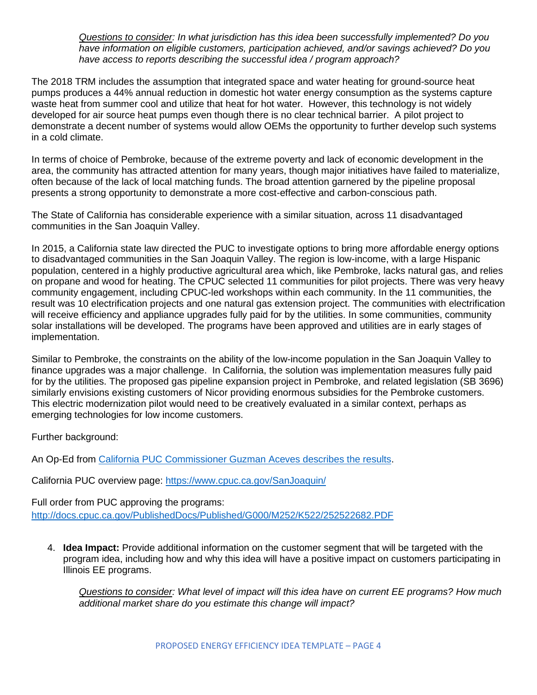*Questions to consider: In what jurisdiction has this idea been successfully implemented? Do you have information on eligible customers, participation achieved, and/or savings achieved? Do you have access to reports describing the successful idea / program approach?* 

The 2018 TRM includes the assumption that integrated space and water heating for ground-source heat pumps produces a 44% annual reduction in domestic hot water energy consumption as the systems capture waste heat from summer cool and utilize that heat for hot water. However, this technology is not widely developed for air source heat pumps even though there is no clear technical barrier. A pilot project to demonstrate a decent number of systems would allow OEMs the opportunity to further develop such systems in a cold climate.

In terms of choice of Pembroke, because of the extreme poverty and lack of economic development in the area, the community has attracted attention for many years, though major initiatives have failed to materialize, often because of the lack of local matching funds. The broad attention garnered by the pipeline proposal presents a strong opportunity to demonstrate a more cost-effective and carbon-conscious path.

The State of California has considerable experience with a similar situation, across 11 disadvantaged communities in the San Joaquin Valley.

In 2015, a California state law directed the PUC to investigate options to bring more affordable energy options to disadvantaged communities in the San Joaquin Valley. The region is low-income, with a large Hispanic population, centered in a highly productive agricultural area which, like Pembroke, lacks natural gas, and relies on propane and wood for heating. The CPUC selected 11 communities for pilot projects. There was very heavy community engagement, including CPUC-led workshops within each community. In the 11 communities, the result was 10 electrification projects and one natural gas extension project. The communities with electrification will receive efficiency and appliance upgrades fully paid for by the utilities. In some communities, community solar installations will be developed. The programs have been approved and utilities are in early stages of implementation.

Similar to Pembroke, the constraints on the ability of the low-income population in the San Joaquin Valley to finance upgrades was a major challenge. In California, the solution was implementation measures fully paid for by the utilities. The proposed gas pipeline expansion project in Pembroke, and related legislation (SB 3696) similarly envisions existing customers of Nicor providing enormous subsidies for the Pembroke customers. This electric modernization pilot would need to be creatively evaluated in a similar context, perhaps as emerging technologies for low income customers.

Further background:

An Op-Ed from [California PUC Commissioner Guzman Aceves describes](https://www.fresnobee.com/opinion/op-ed/article224270485.html) the results.

California PUC overview page:<https://www.cpuc.ca.gov/SanJoaquin/>

Full order from PUC approving the programs: <http://docs.cpuc.ca.gov/PublishedDocs/Published/G000/M252/K522/252522682.PDF>

4. **Idea Impact:** Provide additional information on the customer segment that will be targeted with the program idea, including how and why this idea will have a positive impact on customers participating in Illinois EE programs.

*Questions to consider: What level of impact will this idea have on current EE programs? How much additional market share do you estimate this change will impact?*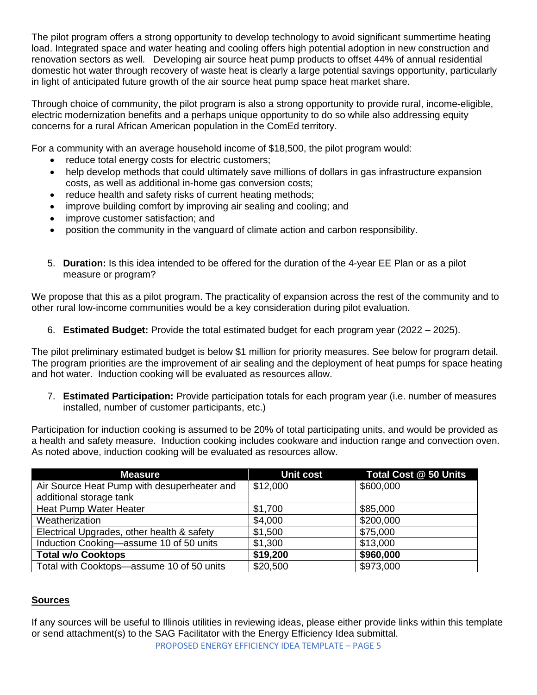The pilot program offers a strong opportunity to develop technology to avoid significant summertime heating load. Integrated space and water heating and cooling offers high potential adoption in new construction and renovation sectors as well. Developing air source heat pump products to offset 44% of annual residential domestic hot water through recovery of waste heat is clearly a large potential savings opportunity, particularly in light of anticipated future growth of the air source heat pump space heat market share.

Through choice of community, the pilot program is also a strong opportunity to provide rural, income-eligible, electric modernization benefits and a perhaps unique opportunity to do so while also addressing equity concerns for a rural African American population in the ComEd territory.

For a community with an average household income of \$18,500, the pilot program would:

- reduce total energy costs for electric customers;
- help develop methods that could ultimately save millions of dollars in gas infrastructure expansion costs, as well as additional in-home gas conversion costs;
- reduce health and safety risks of current heating methods;
- improve building comfort by improving air sealing and cooling; and
- improve customer satisfaction; and
- position the community in the vanguard of climate action and carbon responsibility.
- 5. **Duration:** Is this idea intended to be offered for the duration of the 4-year EE Plan or as a pilot measure or program?

We propose that this as a pilot program. The practicality of expansion across the rest of the community and to other rural low-income communities would be a key consideration during pilot evaluation.

6. **Estimated Budget:** Provide the total estimated budget for each program year (2022 – 2025).

The pilot preliminary estimated budget is below \$1 million for priority measures. See below for program detail. The program priorities are the improvement of air sealing and the deployment of heat pumps for space heating and hot water. Induction cooking will be evaluated as resources allow.

7. **Estimated Participation:** Provide participation totals for each program year (i.e. number of measures installed, number of customer participants, etc.)

Participation for induction cooking is assumed to be 20% of total participating units, and would be provided as a health and safety measure. Induction cooking includes cookware and induction range and convection oven. As noted above, induction cooking will be evaluated as resources allow.

| <b>Measure</b>                              | <b>Unit cost</b> | <b>Total Cost @ 50 Units</b> |
|---------------------------------------------|------------------|------------------------------|
| Air Source Heat Pump with desuperheater and | \$12,000         | \$600,000                    |
| additional storage tank                     |                  |                              |
| Heat Pump Water Heater                      | \$1,700          | \$85,000                     |
| Weatherization                              | \$4,000          | \$200,000                    |
| Electrical Upgrades, other health & safety  | \$1,500          | \$75,000                     |
| Induction Cooking-assume 10 of 50 units     | \$1,300          | \$13,000                     |
| <b>Total w/o Cooktops</b>                   | \$19,200         | \$960,000                    |
| Total with Cooktops-assume 10 of 50 units   | \$20,500         | \$973,000                    |

## **Sources**

PROPOSED ENERGY EFFICIENCY IDEA TEMPLATE – PAGE 5 If any sources will be useful to Illinois utilities in reviewing ideas, please either provide links within this template or send attachment(s) to the SAG Facilitator with the Energy Efficiency Idea submittal.